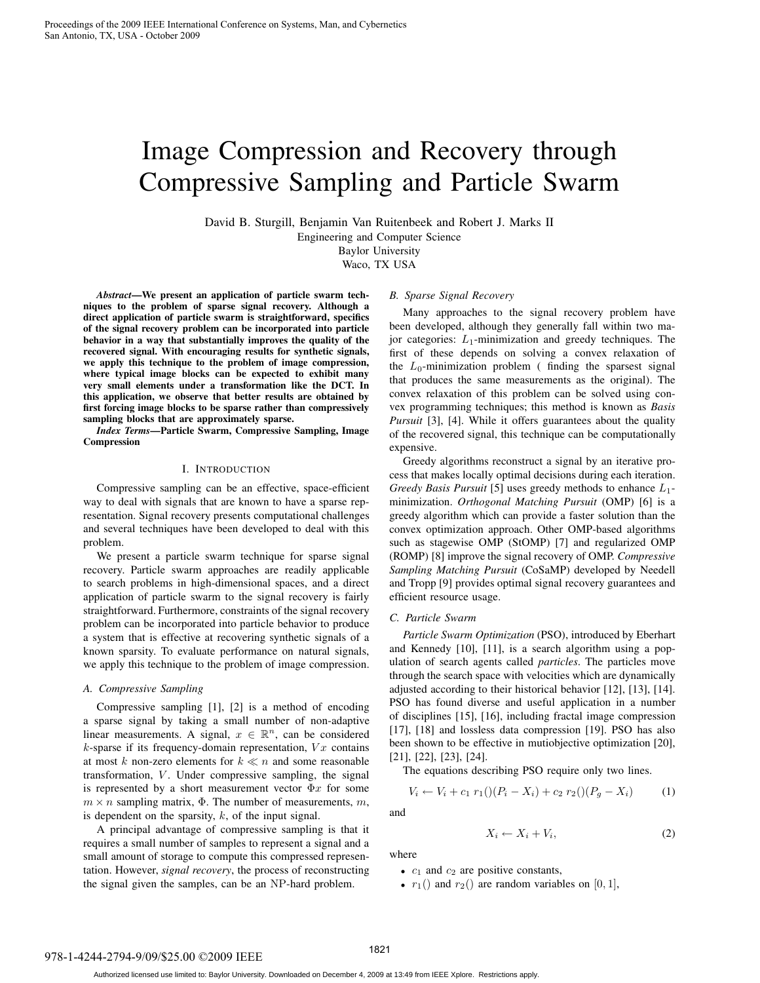# Image Compression and Recovery through Compressive Sampling and Particle Swarm

David B. Sturgill, Benjamin Van Ruitenbeek and Robert J. Marks II

Engineering and Computer Science

Baylor University

Waco, TX USA

*Abstract***—We present an application of particle swarm techniques to the problem of sparse signal recovery. Although a direct application of particle swarm is straightforward, specifics of the signal recovery problem can be incorporated into particle behavior in a way that substantially improves the quality of the recovered signal. With encouraging results for synthetic signals, we apply this technique to the problem of image compression, where typical image blocks can be expected to exhibit many very small elements under a transformation like the DCT. In this application, we observe that better results are obtained by first forcing image blocks to be sparse rather than compressively sampling blocks that are approximately sparse.**

*Index Terms***—Particle Swarm, Compressive Sampling, Image Compression**

## I. INTRODUCTION

Compressive sampling can be an effective, space-efficient way to deal with signals that are known to have a sparse representation. Signal recovery presents computational challenges and several techniques have been developed to deal with this problem.

We present a particle swarm technique for sparse signal recovery. Particle swarm approaches are readily applicable to search problems in high-dimensional spaces, and a direct application of particle swarm to the signal recovery is fairly straightforward. Furthermore, constraints of the signal recovery problem can be incorporated into particle behavior to produce a system that is effective at recovering synthetic signals of a known sparsity. To evaluate performance on natural signals, we apply this technique to the problem of image compression.

## *A. Compressive Sampling*

Compressive sampling [1], [2] is a method of encoding a sparse signal by taking a small number of non-adaptive linear measurements. A signal,  $x \in \mathbb{R}^n$ , can be considered  $k$ -sparse if its frequency-domain representation,  $Vx$  contains at most k non-zero elements for  $k \ll n$  and some reasonable transformation,  $V$ . Under compressive sampling, the signal is represented by a short measurement vector  $\Phi x$  for some  $m \times n$  sampling matrix,  $\Phi$ . The number of measurements, m, is dependent on the sparsity,  $k$ , of the input signal.

A principal advantage of compressive sampling is that it requires a small number of samples to represent a signal and a small amount of storage to compute this compressed representation. However, *signal recovery*, the process of reconstructing the signal given the samples, can be an NP-hard problem.

## *B. Sparse Signal Recovery*

Many approaches to the signal recovery problem have been developed, although they generally fall within two major categories:  $L_1$ -minimization and greedy techniques. The first of these depends on solving a convex relaxation of the  $L_0$ -minimization problem (finding the sparsest signal that produces the same measurements as the original). The convex relaxation of this problem can be solved using convex programming techniques; this method is known as *Basis Pursuit* [3], [4]. While it offers guarantees about the quality of the recovered signal, this technique can be computationally expensive.

Greedy algorithms reconstruct a signal by an iterative process that makes locally optimal decisions during each iteration. *Greedy Basis Pursuit* [5] uses greedy methods to enhance  $L_1$ minimization. *Orthogonal Matching Pursuit* (OMP) [6] is a greedy algorithm which can provide a faster solution than the convex optimization approach. Other OMP-based algorithms such as stagewise OMP (StOMP) [7] and regularized OMP (ROMP) [8] improve the signal recovery of OMP. *Compressive Sampling Matching Pursuit* (CoSaMP) developed by Needell and Tropp [9] provides optimal signal recovery guarantees and efficient resource usage.

#### *C. Particle Swarm*

*Particle Swarm Optimization* (PSO), introduced by Eberhart and Kennedy [10], [11], is a search algorithm using a population of search agents called *particles*. The particles move through the search space with velocities which are dynamically adjusted according to their historical behavior [12], [13], [14]. PSO has found diverse and useful application in a number of disciplines [15], [16], including fractal image compression [17], [18] and lossless data compression [19]. PSO has also been shown to be effective in mutiobjective optimization [20], [21], [22], [23], [24].

The equations describing PSO require only two lines.

$$
V_i \leftarrow V_i + c_1 \ r_1 \left( (P_i - X_i) + c_2 \ r_2 \left( (P_g - X_i) \right) \right) \tag{1}
$$

and

$$
X_i \leftarrow X_i + V_i,\tag{2}
$$

where

•  $c_1$  and  $c_2$  are positive constants,

•  $r_1$ () and  $r_2$ () are random variables on [0, 1],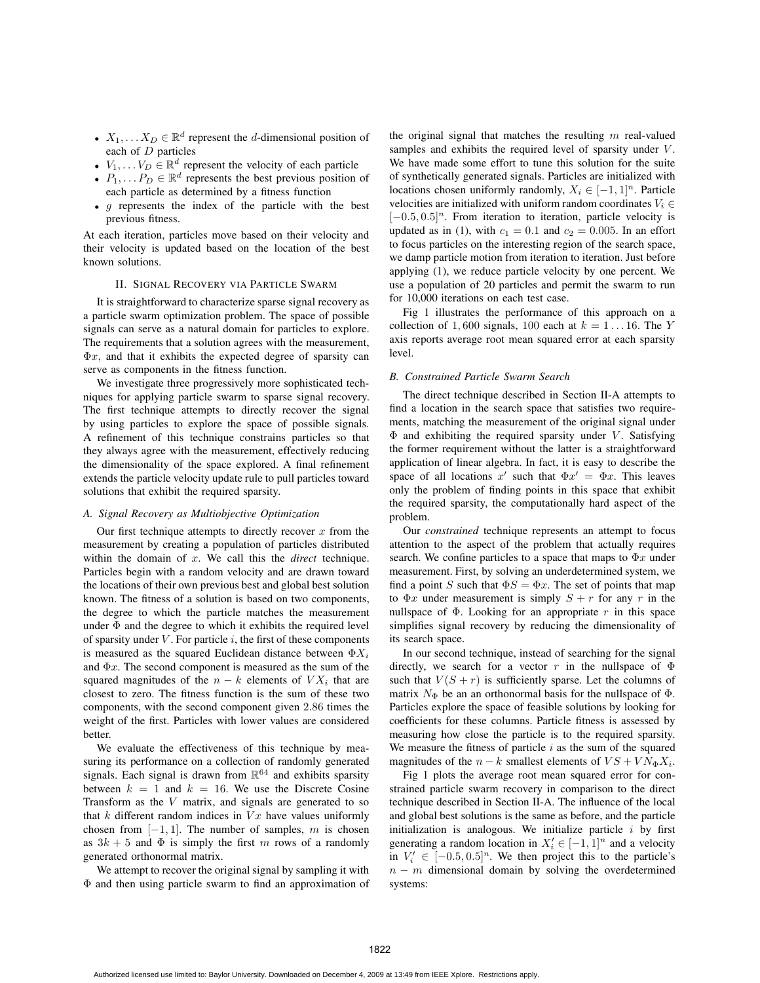- $X_1, \ldots X_D \in \mathbb{R}^d$  represent the *d*-dimensional position of each of D particles
- $V_1, \ldots V_D \in \mathbb{R}^d$  represent the velocity of each particle
- $P_1, \ldots, P_D \in \mathbb{R}^d$  represents the best previous position of each particle as determined by a fitness function
- $\bullet$  g represents the index of the particle with the best previous fitness.

At each iteration, particles move based on their velocity and their velocity is updated based on the location of the best known solutions.

#### II. SIGNAL RECOVERY VIA PARTICLE SWARM

It is straightforward to characterize sparse signal recovery as a particle swarm optimization problem. The space of possible signals can serve as a natural domain for particles to explore. The requirements that a solution agrees with the measurement,  $\Phi x$ , and that it exhibits the expected degree of sparsity can serve as components in the fitness function.

We investigate three progressively more sophisticated techniques for applying particle swarm to sparse signal recovery. The first technique attempts to directly recover the signal by using particles to explore the space of possible signals. A refinement of this technique constrains particles so that they always agree with the measurement, effectively reducing the dimensionality of the space explored. A final refinement extends the particle velocity update rule to pull particles toward solutions that exhibit the required sparsity.

## *A. Signal Recovery as Multiobjective Optimization*

Our first technique attempts to directly recover  $x$  from the measurement by creating a population of particles distributed within the domain of x. We call this the *direct* technique. Particles begin with a random velocity and are drawn toward the locations of their own previous best and global best solution known. The fitness of a solution is based on two components, the degree to which the particle matches the measurement under  $\Phi$  and the degree to which it exhibits the required level of sparsity under  $V$ . For particle  $i$ , the first of these components is measured as the squared Euclidean distance between  $\Phi X_i$ and  $\Phi x$ . The second component is measured as the sum of the squared magnitudes of the  $n - k$  elements of  $V X_i$  that are closest to zero. The fitness function is the sum of these two components, with the second component given 2.86 times the weight of the first. Particles with lower values are considered better.

We evaluate the effectiveness of this technique by measuring its performance on a collection of randomly generated signals. Each signal is drawn from  $\mathbb{R}^{64}$  and exhibits sparsity between  $k = 1$  and  $k = 16$ . We use the Discrete Cosine Transform as the V matrix, and signals are generated to so that  $k$  different random indices in  $Vx$  have values uniformly chosen from  $[-1, 1]$ . The number of samples, m is chosen as  $3k + 5$  and  $\Phi$  is simply the first m rows of a randomly generated orthonormal matrix.

We attempt to recover the original signal by sampling it with Φ and then using particle swarm to find an approximation of

the original signal that matches the resulting  $m$  real-valued samples and exhibits the required level of sparsity under  $V$ . We have made some effort to tune this solution for the suite of synthetically generated signals. Particles are initialized with locations chosen uniformly randomly,  $X_i \in [-1,1]^n$ . Particle velocities are initialized with uniform random coordinates  $V_i \in$  $[-0.5, 0.5]^n$ . From iteration to iteration, particle velocity is updated as in (1), with  $c_1 = 0.1$  and  $c_2 = 0.005$ . In an effort to focus particles on the interesting region of the search space, we damp particle motion from iteration to iteration. Just before applying (1), we reduce particle velocity by one percent. We use a population of 20 particles and permit the swarm to run for 10,000 iterations on each test case.

Fig 1 illustrates the performance of this approach on a collection of 1,600 signals, 100 each at  $k = 1 \dots 16$ . The Y axis reports average root mean squared error at each sparsity level.

# *B. Constrained Particle Swarm Search*

The direct technique described in Section II-A attempts to find a location in the search space that satisfies two requirements, matching the measurement of the original signal under  $\Phi$  and exhibiting the required sparsity under V. Satisfying the former requirement without the latter is a straightforward application of linear algebra. In fact, it is easy to describe the space of all locations x' such that  $\Phi x' = \Phi x$ . This leaves only the problem of finding points in this space that exhibit the required sparsity, the computationally hard aspect of the problem.

Our *constrained* technique represents an attempt to focus attention to the aspect of the problem that actually requires search. We confine particles to a space that maps to  $\Phi x$  under measurement. First, by solving an underdetermined system, we find a point S such that  $\Phi S = \Phi x$ . The set of points that map to  $\Phi x$  under measurement is simply  $S + r$  for any r in the nullspace of  $\Phi$ . Looking for an appropriate r in this space simplifies signal recovery by reducing the dimensionality of its search space.

In our second technique, instead of searching for the signal directly, we search for a vector r in the nullspace of  $\Phi$ such that  $V(S + r)$  is sufficiently sparse. Let the columns of matrix  $N_{\Phi}$  be an an orthonormal basis for the nullspace of  $\Phi$ . Particles explore the space of feasible solutions by looking for coefficients for these columns. Particle fitness is assessed by measuring how close the particle is to the required sparsity. We measure the fitness of particle  $i$  as the sum of the squared magnitudes of the  $n - k$  smallest elements of  $VS + VN_{\Phi}X_i$ .

Fig 1 plots the average root mean squared error for constrained particle swarm recovery in comparison to the direct technique described in Section II-A. The influence of the local and global best solutions is the same as before, and the particle initialization is analogous. We initialize particle  $i$  by first generating a random location in  $X'_i \in [-1, 1]^n$  and a velocity in  $V'_i \in [-0.5, 0.5]^n$ . We then project this to the particle's  $n - m$  dimensional domain by solving the overdetermined systems: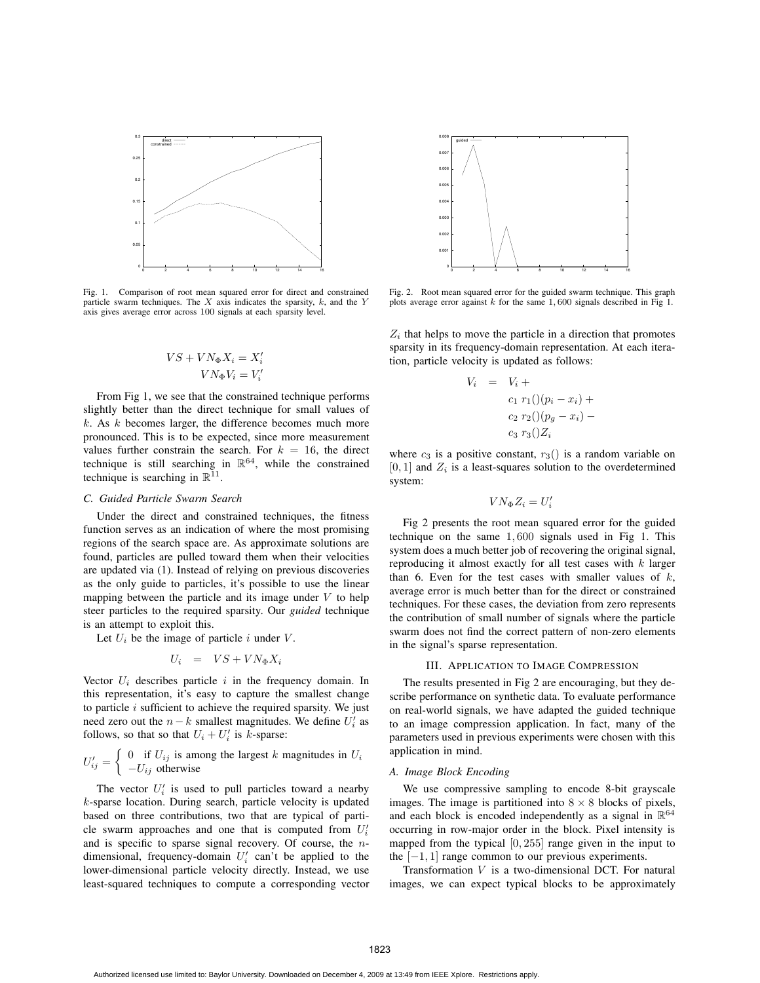

Fig. 1. Comparison of root mean squared error for direct and constrained particle swarm techniques. The  $X$  axis indicates the sparsity,  $k$ , and the Y axis gives average error across 100 signals at each sparsity level.

$$
VS + VN_{\Phi}X_i = X'_i
$$

$$
VN_{\Phi}V_i = V'_i
$$

From Fig 1, we see that the constrained technique performs slightly better than the direct technique for small values of  $k$ . As  $k$  becomes larger, the difference becomes much more pronounced. This is to be expected, since more measurement values further constrain the search. For  $k = 16$ , the direct technique is still searching in  $\mathbb{R}^{64}$ , while the constrained technique is searching in  $\mathbb{R}^{11}$ .

## *C. Guided Particle Swarm Search*

Under the direct and constrained techniques, the fitness function serves as an indication of where the most promising regions of the search space are. As approximate solutions are found, particles are pulled toward them when their velocities are updated via (1). Instead of relying on previous discoveries as the only guide to particles, it's possible to use the linear mapping between the particle and its image under  $V$  to help steer particles to the required sparsity. Our *guided* technique is an attempt to exploit this.

Let  $U_i$  be the image of particle i under V.

$$
U_i = VS + VN_{\Phi}X_i
$$

Vector  $U_i$  describes particle i in the frequency domain. In this representation, it's easy to capture the smallest change to particle  $i$  sufficient to achieve the required sparsity. We just need zero out the  $n - k$  smallest magnitudes. We define  $U_i'$  as follows, so that so that  $U_i + U'_i$  is k-sparse:

$$
U'_{ij} = \begin{cases} 0 & \text{if } U_{ij} \text{ is among the largest } k \text{ magnitudes in } U_i \\ -U_{ij} & \text{otherwise} \end{cases}
$$

The vector  $U_i'$  is used to pull particles toward a nearby k-sparse location. During search, particle velocity is updated based on three contributions, two that are typical of particle swarm approaches and one that is computed from  $U_i'$ and is specific to sparse signal recovery. Of course, the ndimensional, frequency-domain  $U_i'$  can't be applied to the lower-dimensional particle velocity directly. Instead, we use least-squared techniques to compute a corresponding vector



Fig. 2. Root mean squared error for the guided swarm technique. This graph plots average error against  $k$  for the same  $1,600$  signals described in Fig 1.

 $Z_i$  that helps to move the particle in a direction that promotes sparsity in its frequency-domain representation. At each iteration, particle velocity is updated as follows:

 $V_i$ 

$$
= V_i +
$$
  
\n
$$
c_1 r_1() (p_i - x_i) +
$$
  
\n
$$
c_2 r_2() (p_g - x_i) -
$$
  
\n
$$
c_3 r_3() Z_i
$$

where  $c_3$  is a positive constant,  $r_3()$  is a random variable on  $[0, 1]$  and  $Z_i$  is a least-squares solution to the overdetermined system:

$$
VN_{\Phi}Z_i = U_i'
$$

Fig 2 presents the root mean squared error for the guided technique on the same 1, 600 signals used in Fig 1. This system does a much better job of recovering the original signal, reproducing it almost exactly for all test cases with  $k$  larger than 6. Even for the test cases with smaller values of  $k$ , average error is much better than for the direct or constrained techniques. For these cases, the deviation from zero represents the contribution of small number of signals where the particle swarm does not find the correct pattern of non-zero elements in the signal's sparse representation.

#### III. APPLICATION TO IMAGE COMPRESSION

The results presented in Fig 2 are encouraging, but they describe performance on synthetic data. To evaluate performance on real-world signals, we have adapted the guided technique to an image compression application. In fact, many of the parameters used in previous experiments were chosen with this application in mind.

## *A. Image Block Encoding*

We use compressive sampling to encode 8-bit grayscale images. The image is partitioned into  $8 \times 8$  blocks of pixels, and each block is encoded independently as a signal in  $\mathbb{R}^{64}$ occurring in row-major order in the block. Pixel intensity is mapped from the typical [0, 255] range given in the input to the  $[-1, 1]$  range common to our previous experiments.

Transformation V is a two-dimensional DCT. For natural images, we can expect typical blocks to be approximately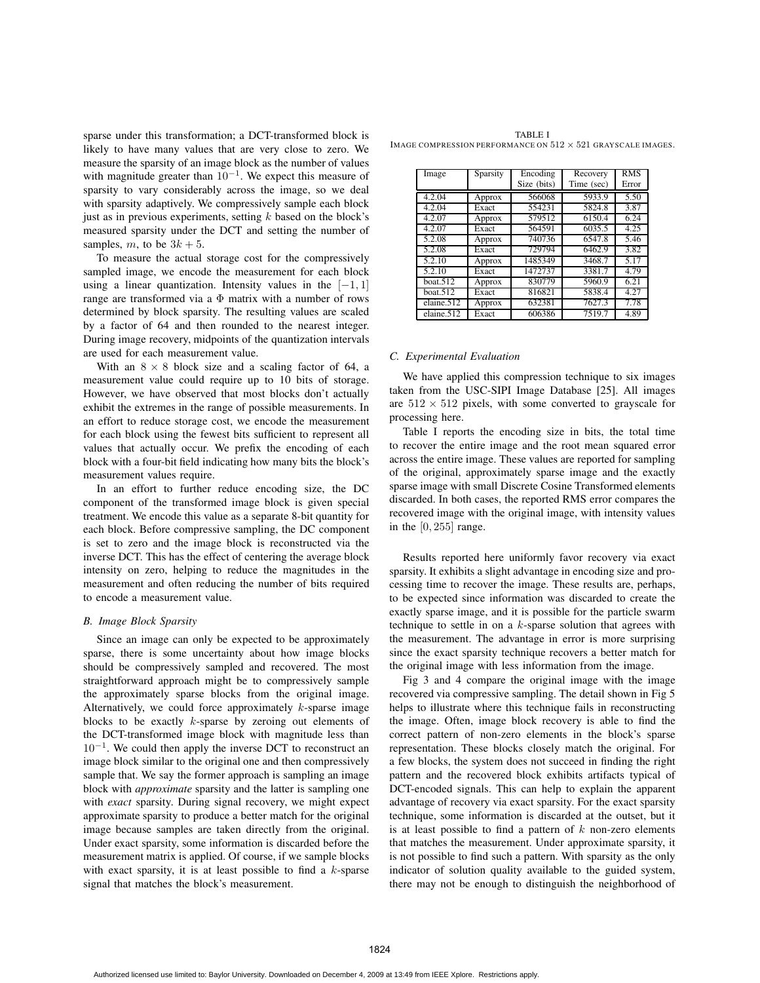sparse under this transformation; a DCT-transformed block is likely to have many values that are very close to zero. We measure the sparsity of an image block as the number of values with magnitude greater than  $10^{-1}$ . We expect this measure of sparsity to vary considerably across the image, so we deal with sparsity adaptively. We compressively sample each block just as in previous experiments, setting  $k$  based on the block's measured sparsity under the DCT and setting the number of samples, m, to be  $3k + 5$ .

To measure the actual storage cost for the compressively sampled image, we encode the measurement for each block using a linear quantization. Intensity values in the  $[-1, 1]$ range are transformed via a Φ matrix with a number of rows determined by block sparsity. The resulting values are scaled by a factor of 64 and then rounded to the nearest integer. During image recovery, midpoints of the quantization intervals are used for each measurement value.

With an  $8 \times 8$  block size and a scaling factor of 64, a measurement value could require up to 10 bits of storage. However, we have observed that most blocks don't actually exhibit the extremes in the range of possible measurements. In an effort to reduce storage cost, we encode the measurement for each block using the fewest bits sufficient to represent all values that actually occur. We prefix the encoding of each block with a four-bit field indicating how many bits the block's measurement values require.

In an effort to further reduce encoding size, the DC component of the transformed image block is given special treatment. We encode this value as a separate 8-bit quantity for each block. Before compressive sampling, the DC component is set to zero and the image block is reconstructed via the inverse DCT. This has the effect of centering the average block intensity on zero, helping to reduce the magnitudes in the measurement and often reducing the number of bits required to encode a measurement value.

#### *B. Image Block Sparsity*

Since an image can only be expected to be approximately sparse, there is some uncertainty about how image blocks should be compressively sampled and recovered. The most straightforward approach might be to compressively sample the approximately sparse blocks from the original image. Alternatively, we could force approximately  $k$ -sparse image blocks to be exactly  $k$ -sparse by zeroing out elements of the DCT-transformed image block with magnitude less than  $10^{-1}$ . We could then apply the inverse DCT to reconstruct an image block similar to the original one and then compressively sample that. We say the former approach is sampling an image block with *approximate* sparsity and the latter is sampling one with *exact* sparsity. During signal recovery, we might expect approximate sparsity to produce a better match for the original image because samples are taken directly from the original. Under exact sparsity, some information is discarded before the measurement matrix is applied. Of course, if we sample blocks with exact sparsity, it is at least possible to find a  $k$ -sparse signal that matches the block's measurement.

TABLE I IMAGE COMPRESSION PERFORMANCE ON  $512 \times 521$  GRAYSCALE IMAGES.

| Image               | Sparsity | Encoding<br>Size (bits) | Recovery<br>Time (sec) | <b>RMS</b><br>Error |
|---------------------|----------|-------------------------|------------------------|---------------------|
|                     |          |                         |                        |                     |
| 4.2.04              | Approx   | 566068                  | 5933.9                 | 5.50                |
| 4.2.04              | Exact    | 554231                  | 5824.8                 | 3.87                |
| $\overline{4.2.07}$ | Approx   | 579512                  | 6150.4                 | 6.24                |
| $\overline{4.2.07}$ | Exact    | 564591                  | 6035.5                 | 4.25                |
| $\overline{5.2.08}$ | Approx   | 740736                  | 6547.8                 | 5.46                |
| 5.2.08              | Exact    | 729794                  | 6462.9                 | 3.82                |
| 5.2.10              | Approx   | 1485349                 | 3468.7                 | 5.17                |
| 5.2.10              | Exact    | 1472737                 | 3381.7                 | 4.79                |
| boat.512            | Approx   | 830779                  | 5960.9                 | 6.21                |
| boat.512            | Exact    | 816821                  | 5838.4                 | 4.27                |
| elaine.512          | Approx   | 632381                  | 7627.3                 | 7.78                |
| elaine.512          | Exact    | 606386                  | 7519.7                 | 4.89                |

## *C. Experimental Evaluation*

We have applied this compression technique to six images taken from the USC-SIPI Image Database [25]. All images are  $512 \times 512$  pixels, with some converted to grayscale for processing here.

Table I reports the encoding size in bits, the total time to recover the entire image and the root mean squared error across the entire image. These values are reported for sampling of the original, approximately sparse image and the exactly sparse image with small Discrete Cosine Transformed elements discarded. In both cases, the reported RMS error compares the recovered image with the original image, with intensity values in the  $[0, 255]$  range.

Results reported here uniformly favor recovery via exact sparsity. It exhibits a slight advantage in encoding size and processing time to recover the image. These results are, perhaps, to be expected since information was discarded to create the exactly sparse image, and it is possible for the particle swarm technique to settle in on a  $k$ -sparse solution that agrees with the measurement. The advantage in error is more surprising since the exact sparsity technique recovers a better match for the original image with less information from the image.

Fig 3 and 4 compare the original image with the image recovered via compressive sampling. The detail shown in Fig 5 helps to illustrate where this technique fails in reconstructing the image. Often, image block recovery is able to find the correct pattern of non-zero elements in the block's sparse representation. These blocks closely match the original. For a few blocks, the system does not succeed in finding the right pattern and the recovered block exhibits artifacts typical of DCT-encoded signals. This can help to explain the apparent advantage of recovery via exact sparsity. For the exact sparsity technique, some information is discarded at the outset, but it is at least possible to find a pattern of  $k$  non-zero elements that matches the measurement. Under approximate sparsity, it is not possible to find such a pattern. With sparsity as the only indicator of solution quality available to the guided system, there may not be enough to distinguish the neighborhood of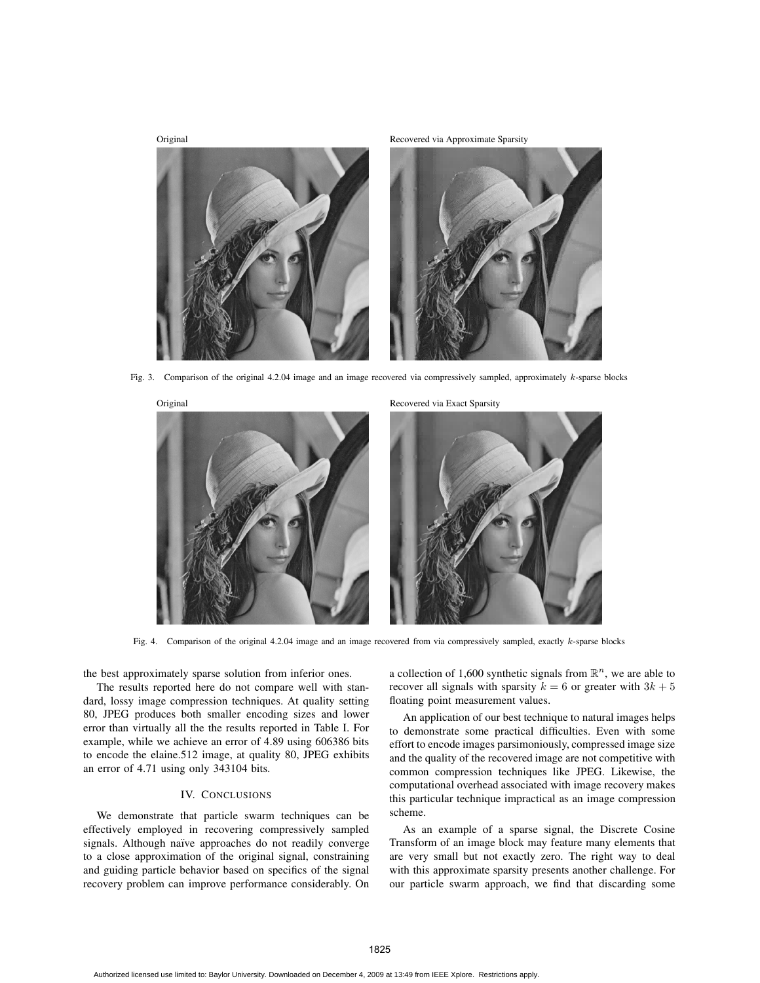

Fig. 3. Comparison of the original 4.2.04 image and an image recovered via compressively sampled, approximately k-sparse blocks



Fig. 4. Comparison of the original 4.2.04 image and an image recovered from via compressively sampled, exactly k-sparse blocks

the best approximately sparse solution from inferior ones.

The results reported here do not compare well with standard, lossy image compression techniques. At quality setting 80, JPEG produces both smaller encoding sizes and lower error than virtually all the the results reported in Table I. For example, while we achieve an error of 4.89 using 606386 bits to encode the elaine.512 image, at quality 80, JPEG exhibits an error of 4.71 using only 343104 bits.

#### IV. CONCLUSIONS

We demonstrate that particle swarm techniques can be effectively employed in recovering compressively sampled signals. Although naïve approaches do not readily converge to a close approximation of the original signal, constraining and guiding particle behavior based on specifics of the signal recovery problem can improve performance considerably. On

a collection of 1,600 synthetic signals from  $\mathbb{R}^n$ , we are able to recover all signals with sparsity  $k = 6$  or greater with  $3k + 5$ floating point measurement values.

An application of our best technique to natural images helps to demonstrate some practical difficulties. Even with some effort to encode images parsimoniously, compressed image size and the quality of the recovered image are not competitive with common compression techniques like JPEG. Likewise, the computational overhead associated with image recovery makes this particular technique impractical as an image compression scheme.

As an example of a sparse signal, the Discrete Cosine Transform of an image block may feature many elements that are very small but not exactly zero. The right way to deal with this approximate sparsity presents another challenge. For our particle swarm approach, we find that discarding some